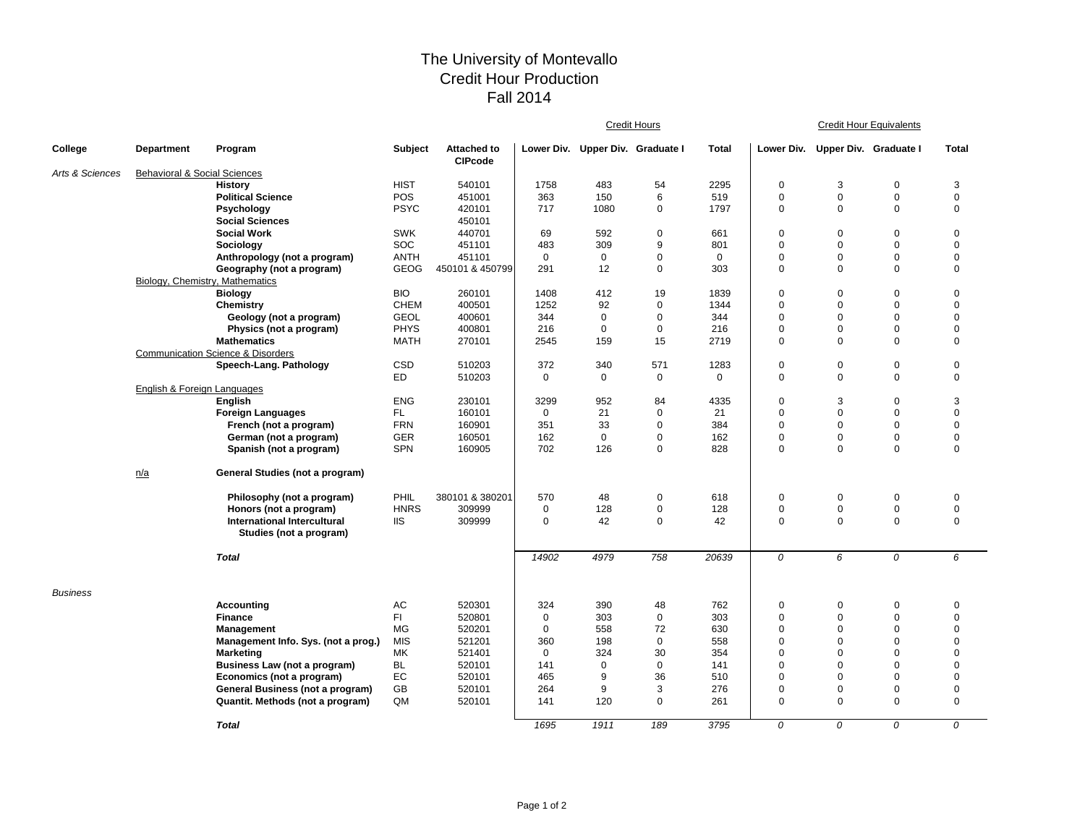## The University of Montevallo Credit Hour Production Fall 2014

|                 |                                         |                                                               |             |                                      | <b>Credit Hours</b> |                                  |              |              | <b>Credit Hour Equivalents</b> |                                  |                |              |  |
|-----------------|-----------------------------------------|---------------------------------------------------------------|-------------|--------------------------------------|---------------------|----------------------------------|--------------|--------------|--------------------------------|----------------------------------|----------------|--------------|--|
| College         | <b>Department</b>                       | Program                                                       | Subject     | <b>Attached to</b><br><b>CIPcode</b> |                     | Lower Div. Upper Div. Graduate I |              | <b>Total</b> |                                | Lower Div. Upper Div. Graduate I |                | <b>Total</b> |  |
| Arts & Sciences | <b>Behavioral &amp; Social Sciences</b> |                                                               |             |                                      |                     |                                  |              |              |                                |                                  |                |              |  |
|                 |                                         | <b>History</b>                                                | <b>HIST</b> | 540101                               | 1758                | 483                              | 54           | 2295         | $\mathbf 0$                    | 3                                | $\mathbf 0$    | 3            |  |
|                 |                                         | <b>Political Science</b>                                      | POS         | 451001                               | 363                 | 150                              | 6            | 519          | 0                              | $\mathbf 0$                      | $\mathbf 0$    | $\mathbf 0$  |  |
|                 |                                         | Psychology                                                    | <b>PSYC</b> | 420101                               | 717                 | 1080                             | $\mathbf 0$  | 1797         | 0                              | $\mathbf 0$                      | $\Omega$       | $\mathbf 0$  |  |
|                 |                                         | <b>Social Sciences</b>                                        |             | 450101                               |                     |                                  |              |              |                                |                                  |                |              |  |
|                 |                                         | <b>Social Work</b>                                            | <b>SWK</b>  | 440701                               | 69                  | 592                              | $\mathbf 0$  | 661          | $\mathbf 0$                    | $\mathbf 0$                      | $\Omega$       | $\mathbf 0$  |  |
|                 |                                         | Sociology                                                     | SOC         | 451101                               | 483                 | 309                              | 9            | 801          | $\mathbf 0$                    | $\mathbf 0$                      | $\Omega$       | $\mathbf 0$  |  |
|                 |                                         | Anthropology (not a program)                                  | <b>ANTH</b> | 451101                               | $\mathbf 0$         | $\mathbf 0$                      | 0            | $\mathbf 0$  | 0                              | 0                                | $\overline{0}$ | $\mathbf 0$  |  |
|                 |                                         | Geography (not a program)                                     | GEOG        | 450101 & 450799                      | 291                 | 12                               | $\pmb{0}$    | 303          | 0                              | $\mathbf 0$                      | 0              | $\mathbf 0$  |  |
|                 |                                         | Biology, Chemistry, Mathematics                               |             |                                      |                     |                                  |              |              |                                |                                  |                |              |  |
|                 |                                         | <b>Biology</b>                                                | <b>BIO</b>  | 260101                               | 1408                | 412                              | 19           | 1839         | $\mathbf 0$                    | $\mathbf 0$                      | $\mathbf 0$    | $\pmb{0}$    |  |
|                 |                                         | Chemistry                                                     | <b>CHEM</b> | 400501                               | 1252                | 92                               | $\pmb{0}$    | 1344         | $\mathbf 0$                    | $\mathbf 0$                      | $\mathbf 0$    | $\mathbf 0$  |  |
|                 |                                         | Geology (not a program)                                       | <b>GEOL</b> | 400601                               | 344                 | $\mathbf 0$                      | $\mathbf 0$  | 344          | $\mathbf 0$                    | $\mathbf 0$                      | $\mathbf 0$    | $\mathbf 0$  |  |
|                 |                                         | Physics (not a program)                                       | <b>PHYS</b> | 400801                               | 216                 | $\mathbf 0$                      | $\mathbf 0$  | 216          | 0                              | 0                                | 0              | $\mathbf 0$  |  |
|                 |                                         | <b>Mathematics</b>                                            | <b>MATH</b> | 270101                               | 2545                | 159                              | 15           | 2719         | 0                              | $\Omega$                         | $\mathbf 0$    | 0            |  |
|                 |                                         | <b>Communication Science &amp; Disorders</b>                  |             |                                      |                     |                                  |              |              |                                |                                  |                |              |  |
|                 |                                         | Speech-Lang. Pathology                                        | CSD         | 510203                               | 372                 | 340                              | 571          | 1283         | $\pmb{0}$                      | 0                                | $\mathbf 0$    | $\mathbf 0$  |  |
|                 |                                         |                                                               | <b>ED</b>   | 510203                               | $\mathbf 0$         | $\mathbf 0$                      | $\mathbf 0$  | $\mathbf 0$  | 0                              | $\mathbf 0$                      | $\mathbf 0$    | $\mathbf 0$  |  |
|                 | English & Foreign Languages             |                                                               |             |                                      |                     |                                  |              |              |                                |                                  |                |              |  |
|                 |                                         | <b>English</b>                                                | <b>ENG</b>  | 230101                               | 3299                | 952                              | 84           | 4335         | $\mathbf 0$                    | 3                                | $\mathbf 0$    | 3            |  |
|                 |                                         | <b>Foreign Languages</b>                                      | FL.         | 160101                               | $\mathbf{0}$        | 21                               | $\mathbf 0$  | 21           | $\Omega$                       | $\mathbf 0$                      | $\Omega$       | $\mathbf 0$  |  |
|                 |                                         | French (not a program)                                        | <b>FRN</b>  | 160901                               | 351                 | 33                               | $\mathbf 0$  | 384          | $\mathbf 0$                    | $\mathbf 0$                      | $\overline{0}$ | $\mathbf 0$  |  |
|                 |                                         | German (not a program)                                        | <b>GER</b>  | 160501                               | 162                 | $\mathbf 0$                      | $\mathbf 0$  | 162          | $\mathbf 0$                    | 0                                | $\mathbf 0$    | $\mathbf 0$  |  |
|                 |                                         | Spanish (not a program)                                       | <b>SPN</b>  | 160905                               | 702                 | 126                              | $\mathbf 0$  | 828          | 0                              | $\mathbf 0$                      | $\Omega$       | $\mathbf 0$  |  |
|                 | n/a                                     | General Studies (not a program)                               |             |                                      |                     |                                  |              |              |                                |                                  |                |              |  |
|                 |                                         | Philosophy (not a program)                                    | PHIL        | 380101 & 380201                      | 570                 | 48                               | $\pmb{0}$    | 618          | $\mathbf 0$                    | 0                                | 0              | 0            |  |
|                 |                                         | Honors (not a program)                                        | <b>HNRS</b> | 309999                               | $\mathbf 0$         | 128                              | $\mathsf 0$  | 128          | $\mathbf 0$                    | 0                                | $\mathbf 0$    | $\mathbf 0$  |  |
|                 |                                         | <b>International Intercultural</b><br>Studies (not a program) | <b>IIS</b>  | 309999                               | $\mathbf 0$         | 42                               | $\mathsf 0$  | 42           | $\mathbf 0$                    | $\Omega$                         | $\mathbf 0$    | $\mathbf 0$  |  |
|                 |                                         | <b>Total</b>                                                  |             |                                      | 14902               | 4979                             | 758          | 20639        | 0                              | 6                                | 0              | 6            |  |
| <b>Business</b> |                                         |                                                               |             |                                      |                     |                                  |              |              |                                |                                  |                |              |  |
|                 |                                         | Accounting                                                    | AC          | 520301                               | 324                 | 390                              | 48           | 762          | $\mathbf 0$                    | 0                                | 0              | 0            |  |
|                 |                                         | <b>Finance</b>                                                | FI.         | 520801                               | $\mathbf 0$         | 303                              | $\mathbf 0$  | 303          | $\Omega$                       | $\mathbf 0$                      | $\Omega$       | $\mathbf 0$  |  |
|                 |                                         | Management                                                    | <b>MG</b>   | 520201                               | $\mathbf{0}$        | 558                              | 72           | 630          | $\mathbf 0$                    | $\mathbf 0$                      | $\Omega$       | $\mathbf 0$  |  |
|                 |                                         | Management Info. Sys. (not a prog.)                           | <b>MIS</b>  | 521201                               | 360                 | 198                              | $\mathbf 0$  | 558          | $\Omega$                       | $\mathbf 0$                      | $\Omega$       | $\mathbf 0$  |  |
|                 |                                         | <b>Marketing</b>                                              | МK          | 521401                               | $\mathbf 0$         | 324                              | 30           | 354          | $\mathbf 0$                    | $\mathbf 0$                      | $\Omega$       | $\mathbf 0$  |  |
|                 |                                         | Business Law (not a program)                                  | <b>BL</b>   | 520101                               | 141                 | $\mathbf 0$                      | $\mathbf{0}$ | 141          | $\Omega$                       | $\mathbf 0$                      | $\overline{0}$ | $\mathbf 0$  |  |
|                 |                                         | Economics (not a program)                                     | EC          | 520101                               | 465                 | 9                                | 36           | 510          | 0                              | $\mathbf 0$                      | $\Omega$       | 0            |  |
|                 |                                         | General Business (not a program)                              | GB          | 520101                               | 264                 | 9                                | 3            | 276          | $\mathbf 0$                    | 0                                | $\overline{0}$ | $\mathbf 0$  |  |
|                 |                                         | Quantit. Methods (not a program)                              | QM          | 520101                               | 141                 | 120                              | $\mathbf 0$  | 261          | $\mathbf 0$                    | $\mathbf 0$                      | $\Omega$       | $\mathbf 0$  |  |
|                 |                                         | <b>Total</b>                                                  |             |                                      | 1695                | 1911                             | 189          | 3795         | 0                              | 0                                | 0              | 0            |  |